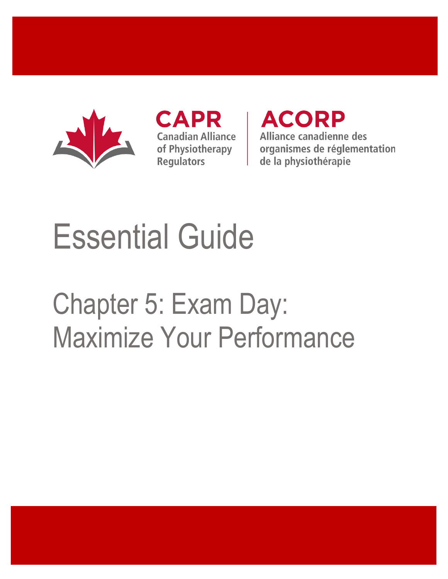

**CAPR Canadian Alliance** of Physiotherapy **Regulators** 

**ACORP** Alliance canadienne des organismes de réglementation de la physiothérapie

# Essential Guide

# Chapter 5: Exam Day: Maximize Your Performance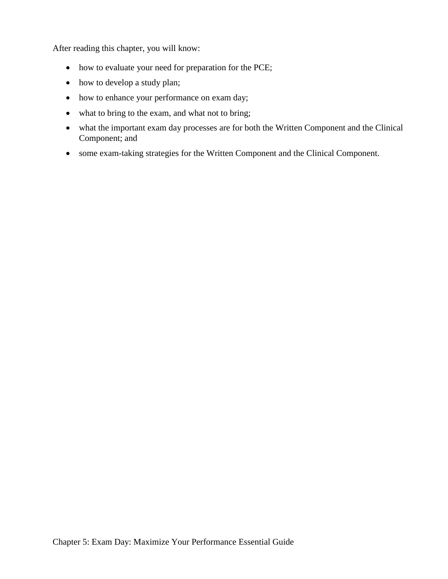After reading this chapter, you will know:

- how to evaluate your need for preparation for the PCE;
- how to develop a study plan;
- how to enhance your performance on exam day;
- what to bring to the exam, and what not to bring;
- what the important exam day processes are for both the Written Component and the Clinical Component; and
- some exam-taking strategies for the Written Component and the Clinical Component.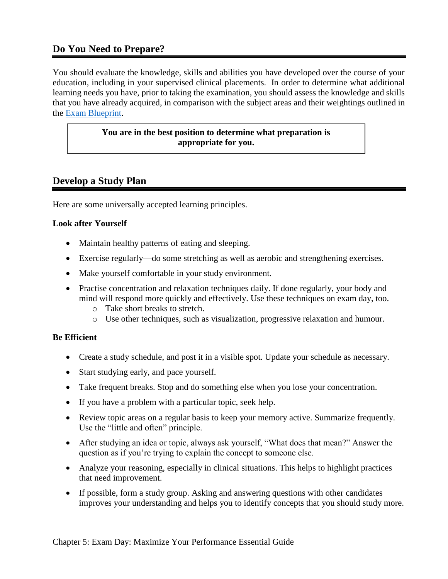# **Do You Need to Prepare?**

You should evaluate the knowledge, skills and abilities you have developed over the course of your education, including in your supervised clinical placements. In order to determine what additional learning needs you have, prior to taking the examination, you should assess the knowledge and skills that you have already acquired, in comparison with the subject areas and their weightings outlined in the [Exam Blueprint.](http://www.alliancept.org/taking-the-exam/preparing-for-the-exam/exam-blueprint/)

### **You are in the best position to determine what preparation is appropriate for you.**

# **Develop a Study Plan**

Here are some universally accepted learning principles.

## **Look after Yourself**

- Maintain healthy patterns of eating and sleeping.
- Exercise regularly—do some stretching as well as aerobic and strengthening exercises.
- Make yourself comfortable in your study environment.
- Practise concentration and relaxation techniques daily. If done regularly, your body and mind will respond more quickly and effectively. Use these techniques on exam day, too.
	- o Take short breaks to stretch.
	- o Use other techniques, such as visualization, progressive relaxation and humour.

# **Be Efficient**

- Create a study schedule, and post it in a visible spot. Update your schedule as necessary.
- Start studying early, and pace yourself.
- Take frequent breaks. Stop and do something else when you lose your concentration.
- If you have a problem with a particular topic, seek help.
- Review topic areas on a regular basis to keep your memory active. Summarize frequently. Use the "little and often" principle.
- After studying an idea or topic, always ask yourself, "What does that mean?" Answer the question as if you're trying to explain the concept to someone else.
- Analyze your reasoning, especially in clinical situations. This helps to highlight practices that need improvement.
- If possible, form a study group. Asking and answering questions with other candidates improves your understanding and helps you to identify concepts that you should study more.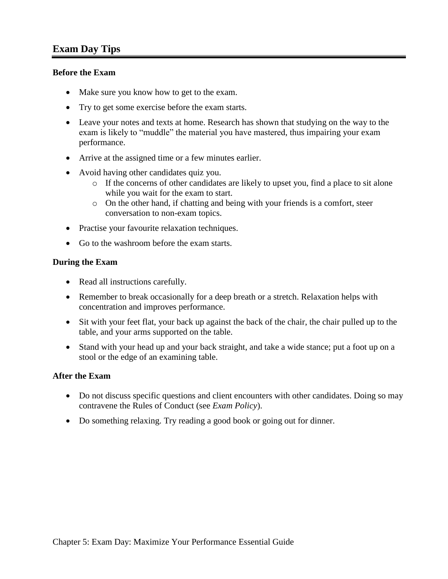#### **Before the Exam**

- Make sure you know how to get to the exam.
- Try to get some exercise before the exam starts.
- Leave your notes and texts at home. Research has shown that studying on the way to the exam is likely to "muddle" the material you have mastered, thus impairing your exam performance.
- Arrive at the assigned time or a few minutes earlier.
- Avoid having other candidates quiz you.
	- $\circ$  If the concerns of other candidates are likely to upset you, find a place to sit alone while you wait for the exam to start.
	- o On the other hand, if chatting and being with your friends is a comfort, steer conversation to non-exam topics.
- Practise your favourite relaxation techniques.
- Go to the washroom before the exam starts.

#### **During the Exam**

- Read all instructions carefully.
- Remember to break occasionally for a deep breath or a stretch. Relaxation helps with concentration and improves performance.
- Sit with your feet flat, your back up against the back of the chair, the chair pulled up to the table, and your arms supported on the table.
- Stand with your head up and your back straight, and take a wide stance; put a foot up on a stool or the edge of an examining table.

#### **After the Exam**

- Do not discuss specific questions and client encounters with other candidates. Doing so may contravene the Rules of Conduct (see *Exam Policy*).
- Do something relaxing. Try reading a good book or going out for dinner.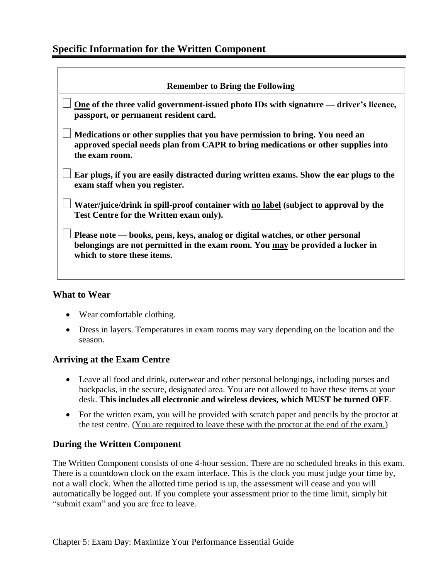| <b>Remember to Bring the Following</b>                                                                                                                                                         |  |
|------------------------------------------------------------------------------------------------------------------------------------------------------------------------------------------------|--|
| <u>One</u> of the three valid government-issued photo IDs with signature — driver's licence,<br>passport, or permanent resident card.                                                          |  |
| Medications or other supplies that you have permission to bring. You need an<br>approved special needs plan from CAPR to bring medications or other supplies into<br>the exam room.            |  |
| Ear plugs, if you are easily distracted during written exams. Show the ear plugs to the<br>exam staff when you register.                                                                       |  |
| Water/juice/drink in spill-proof container with no label (subject to approval by the<br>Test Centre for the Written exam only).                                                                |  |
| Please note — books, pens, keys, analog or digital watches, or other personal<br>belongings are not permitted in the exam room. You may be provided a locker in<br>which to store these items. |  |

# **What to Wear**

- Wear comfortable clothing.
- Dress in layers. Temperatures in exam rooms may vary depending on the location and the season.

# **Arriving at the Exam Centre**

- Leave all food and drink, outerwear and other personal belongings, including purses and backpacks, in the secure, designated area. You are not allowed to have these items at your desk. **This includes all electronic and wireless devices, which MUST be turned OFF**.
- For the written exam, you will be provided with scratch paper and pencils by the proctor at the test centre. (You are required to leave these with the proctor at the end of the exam.)

# **During the Written Component**

The Written Component consists of one 4-hour session. There are no scheduled breaks in this exam. There is a countdown clock on the exam interface. This is the clock you must judge your time by, not a wall clock. When the allotted time period is up, the assessment will cease and you will automatically be logged out. If you complete your assessment prior to the time limit, simply hit "submit exam" and you are free to leave.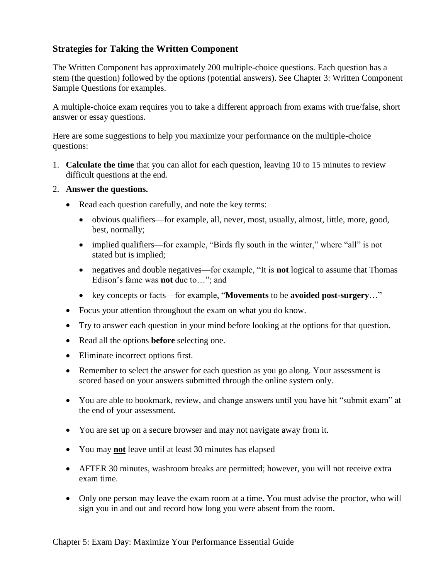# **Strategies for Taking the Written Component**

The Written Component has approximately 200 multiple-choice questions. Each question has a stem (the question) followed by the options (potential answers). See Chapter 3: Written Component Sample Questions for examples.

A multiple-choice exam requires you to take a different approach from exams with true/false, short answer or essay questions.

Here are some suggestions to help you maximize your performance on the multiple-choice questions:

- 1. **Calculate the time** that you can allot for each question, leaving 10 to 15 minutes to review difficult questions at the end.
- 2. **Answer the questions.**
	- Read each question carefully, and note the key terms:
		- obvious qualifiers—for example, all, never, most, usually, almost, little, more, good, best, normally;
		- implied qualifiers—for example, "Birds fly south in the winter," where "all" is not stated but is implied;
		- negatives and double negatives—for example, "It is **not** logical to assume that Thomas Edison's fame was **not** due to…"; and
		- key concepts or facts—for example, "**Movements** to be **avoided post-surgery**…"
	- Focus your attention throughout the exam on what you do know.
	- Try to answer each question in your mind before looking at the options for that question.
	- Read all the options **before** selecting one.
	- Eliminate incorrect options first.
	- Remember to select the answer for each question as you go along. Your assessment is scored based on your answers submitted through the online system only.
	- You are able to bookmark, review, and change answers until you have hit "submit exam" at the end of your assessment.
	- You are set up on a secure browser and may not navigate away from it.
	- You may **not** leave until at least 30 minutes has elapsed
	- AFTER 30 minutes, washroom breaks are permitted; however, you will not receive extra exam time.
	- Only one person may leave the exam room at a time. You must advise the proctor, who will sign you in and out and record how long you were absent from the room.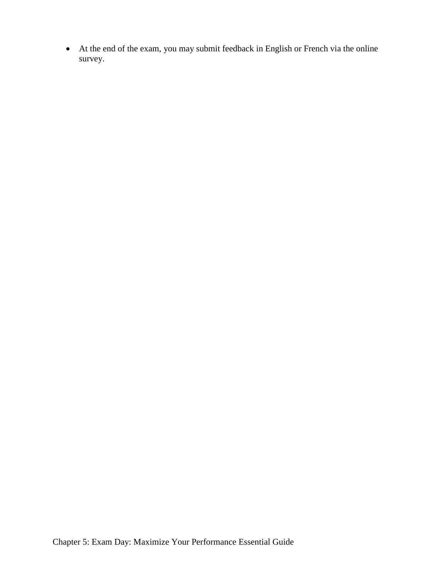• At the end of the exam, you may submit feedback in English or French via the online survey.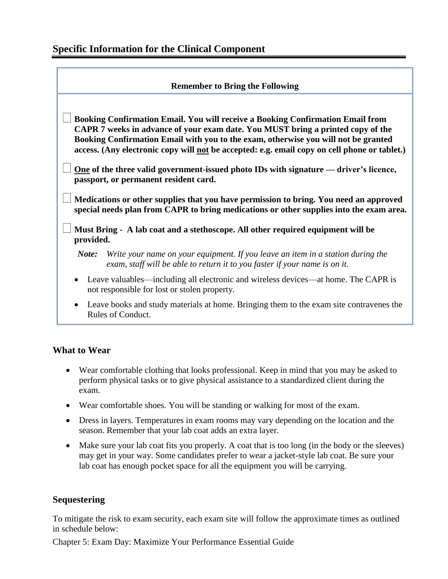| <b>Remember to Bring the Following</b>                                                                                                                                                                                                                                                                                                                                                                                                                                                                                                                                                                                                                                               |                                                                                                                                                               |  |
|--------------------------------------------------------------------------------------------------------------------------------------------------------------------------------------------------------------------------------------------------------------------------------------------------------------------------------------------------------------------------------------------------------------------------------------------------------------------------------------------------------------------------------------------------------------------------------------------------------------------------------------------------------------------------------------|---------------------------------------------------------------------------------------------------------------------------------------------------------------|--|
| Booking Confirmation Email. You will receive a Booking Confirmation Email from<br>CAPR 7 weeks in advance of your exam date. You MUST bring a printed copy of the<br>Booking Confirmation Email with you to the exam, otherwise you will not be granted<br>access. (Any electronic copy will not be accepted: e.g. email copy on cell phone or tablet.)<br><u>One</u> of the three valid government-issued photo IDs with signature — driver's licence,<br>passport, or permanent resident card.<br>Medications or other supplies that you have permission to bring. You need an approved<br>special needs plan from CAPR to bring medications or other supplies into the exam area. |                                                                                                                                                               |  |
| Must Bring - A lab coat and a stethoscope. All other required equipment will be<br>provided.                                                                                                                                                                                                                                                                                                                                                                                                                                                                                                                                                                                         |                                                                                                                                                               |  |
| Note:                                                                                                                                                                                                                                                                                                                                                                                                                                                                                                                                                                                                                                                                                | Write your name on your equipment. If you leave an item in a station during the<br>exam, staff will be able to return it to you faster if your name is on it. |  |
| Leave valuables—including all electronic and wireless devices—at home. The CAPR is<br>$\bullet$<br>not responsible for lost or stolen property.                                                                                                                                                                                                                                                                                                                                                                                                                                                                                                                                      |                                                                                                                                                               |  |
| Leave books and study materials at home. Bringing them to the exam site contravenes the<br>Rules of Conduct.                                                                                                                                                                                                                                                                                                                                                                                                                                                                                                                                                                         |                                                                                                                                                               |  |

# **What to Wear**

- Wear comfortable clothing that looks professional. Keep in mind that you may be asked to perform physical tasks or to give physical assistance to a standardized client during the exam.
- Wear comfortable shoes. You will be standing or walking for most of the exam.
- Dress in layers. Temperatures in exam rooms may vary depending on the location and the season. Remember that your lab coat adds an extra layer.
- Make sure your lab coat fits you properly. A coat that is too long (in the body or the sleeves) may get in your way. Some candidates prefer to wear a jacket-style lab coat. Be sure your lab coat has enough pocket space for all the equipment you will be carrying.

# **Sequestering**

To mitigate the risk to exam security, each exam site will follow the approximate times as outlined in schedule below:

Chapter 5: Exam Day: Maximize Your Performance Essential Guide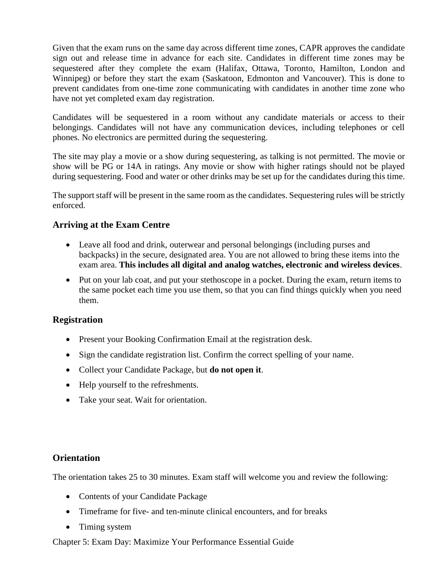Given that the exam runs on the same day across different time zones, CAPR approves the candidate sign out and release time in advance for each site. Candidates in different time zones may be sequestered after they complete the exam (Halifax, Ottawa, Toronto, Hamilton, London and Winnipeg) or before they start the exam (Saskatoon, Edmonton and Vancouver). This is done to prevent candidates from one-time zone communicating with candidates in another time zone who have not yet completed exam day registration.

Candidates will be sequestered in a room without any candidate materials or access to their belongings. Candidates will not have any communication devices, including telephones or cell phones. No electronics are permitted during the sequestering.

The site may play a movie or a show during sequestering, as talking is not permitted. The movie or show will be PG or 14A in ratings. Any movie or show with higher ratings should not be played during sequestering. Food and water or other drinks may be set up for the candidates during this time.

The support staff will be present in the same room as the candidates. Sequestering rules will be strictly enforced.

# **Arriving at the Exam Centre**

- Leave all food and drink, outerwear and personal belongings (including purses and backpacks) in the secure, designated area. You are not allowed to bring these items into the exam area. **This includes all digital and analog watches, electronic and wireless devices**.
- Put on your lab coat, and put your stethoscope in a pocket. During the exam, return items to the same pocket each time you use them, so that you can find things quickly when you need them.

# **Registration**

- Present your Booking Confirmation Email at the registration desk.
- Sign the candidate registration list. Confirm the correct spelling of your name.
- Collect your Candidate Package, but **do not open it**.
- Help yourself to the refreshments.
- Take your seat. Wait for orientation.

# **Orientation**

The orientation takes 25 to 30 minutes. Exam staff will welcome you and review the following:

- Contents of your Candidate Package
- Time frame for five- and ten-minute clinical encounters, and for breaks
- Timing system

Chapter 5: Exam Day: Maximize Your Performance Essential Guide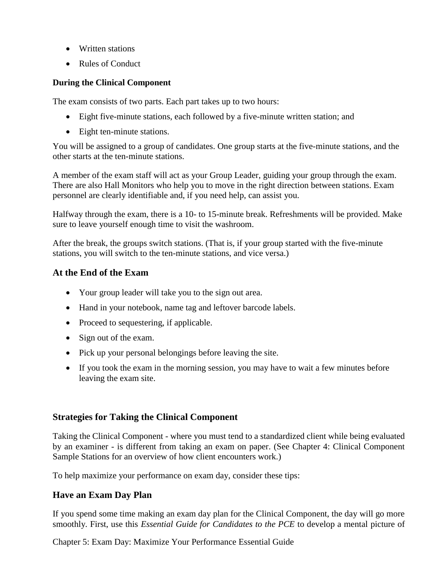- Written stations
- Rules of Conduct

#### **During the Clinical Component**

The exam consists of two parts. Each part takes up to two hours:

- Eight five-minute stations, each followed by a five-minute written station; and
- Eight ten-minute stations.

You will be assigned to a group of candidates. One group starts at the five-minute stations, and the other starts at the ten-minute stations.

A member of the exam staff will act as your Group Leader, guiding your group through the exam. There are also Hall Monitors who help you to move in the right direction between stations. Exam personnel are clearly identifiable and, if you need help, can assist you.

Halfway through the exam, there is a 10- to 15-minute break. Refreshments will be provided. Make sure to leave yourself enough time to visit the washroom.

After the break, the groups switch stations. (That is, if your group started with the five-minute stations, you will switch to the ten-minute stations, and vice versa.)

# **At the End of the Exam**

- Your group leader will take you to the sign out area.
- Hand in your notebook, name tag and leftover barcode labels.
- Proceed to sequestering, if applicable.
- Sign out of the exam.
- Pick up your personal belongings before leaving the site.
- If you took the exam in the morning session, you may have to wait a few minutes before leaving the exam site.

# **Strategies for Taking the Clinical Component**

Taking the Clinical Component - where you must tend to a standardized client while being evaluated by an examiner - is different from taking an exam on paper. (See Chapter 4: Clinical Component Sample Stations for an overview of how client encounters work.)

To help maximize your performance on exam day, consider these tips:

# **Have an Exam Day Plan**

If you spend some time making an exam day plan for the Clinical Component, the day will go more smoothly. First, use this *Essential Guide for Candidates to the PCE* to develop a mental picture of

Chapter 5: Exam Day: Maximize Your Performance Essential Guide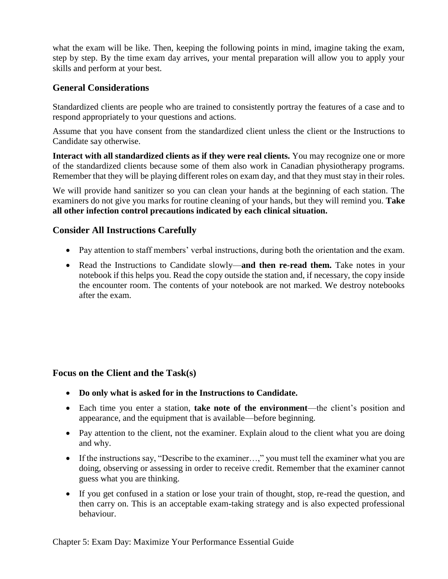what the exam will be like. Then, keeping the following points in mind, imagine taking the exam, step by step. By the time exam day arrives, your mental preparation will allow you to apply your skills and perform at your best.

# **General Considerations**

Standardized clients are people who are trained to consistently portray the features of a case and to respond appropriately to your questions and actions.

Assume that you have consent from the standardized client unless the client or the Instructions to Candidate say otherwise.

**Interact with all standardized clients as if they were real clients.** You may recognize one or more of the standardized clients because some of them also work in Canadian physiotherapy programs. Remember that they will be playing different roles on exam day, and that they must stay in their roles.

We will provide hand sanitizer so you can clean your hands at the beginning of each station. The examiners do not give you marks for routine cleaning of your hands, but they will remind you. **Take all other infection control precautions indicated by each clinical situation.**

# **Consider All Instructions Carefully**

- Pay attention to staff members' verbal instructions, during both the orientation and the exam.
- Read the Instructions to Candidate slowly—**and then re-read them.** Take notes in your notebook if this helps you. Read the copy outside the station and, if necessary, the copy inside the encounter room. The contents of your notebook are not marked. We destroy notebooks after the exam.

# **Focus on the Client and the Task(s)**

- **Do only what is asked for in the Instructions to Candidate.**
- Each time you enter a station, **take note of the environment**—the client's position and appearance, and the equipment that is available—before beginning.
- Pay attention to the client, not the examiner. Explain aloud to the client what you are doing and why.
- If the instructions say, "Describe to the examiner...," you must tell the examiner what you are doing, observing or assessing in order to receive credit. Remember that the examiner cannot guess what you are thinking.
- If you get confused in a station or lose your train of thought, stop, re-read the question, and then carry on. This is an acceptable exam-taking strategy and is also expected professional behaviour.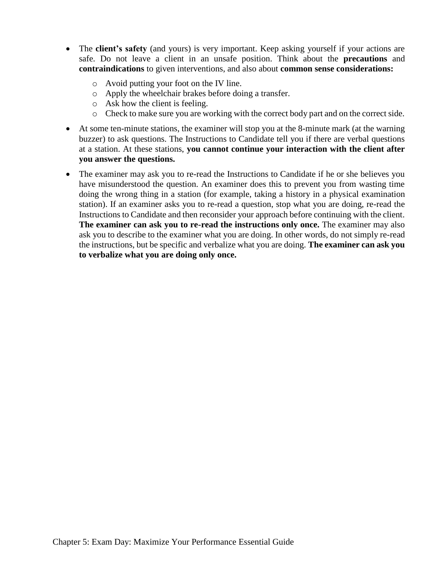- The **client's safety** (and yours) is very important. Keep asking yourself if your actions are safe. Do not leave a client in an unsafe position. Think about the **precautions** and **contraindications** to given interventions, and also about **common sense considerations:**
	- o Avoid putting your foot on the IV line.
	- o Apply the wheelchair brakes before doing a transfer.
	- o Ask how the client is feeling.
	- o Check to make sure you are working with the correct body part and on the correct side.
- At some ten-minute stations, the examiner will stop you at the 8-minute mark (at the warning buzzer) to ask questions. The Instructions to Candidate tell you if there are verbal questions at a station. At these stations, **you cannot continue your interaction with the client after you answer the questions.**
- The examiner may ask you to re-read the Instructions to Candidate if he or she believes you have misunderstood the question. An examiner does this to prevent you from wasting time doing the wrong thing in a station (for example, taking a history in a physical examination station). If an examiner asks you to re-read a question, stop what you are doing, re-read the Instructions to Candidate and then reconsider your approach before continuing with the client. **The examiner can ask you to re-read the instructions only once.** The examiner may also ask you to describe to the examiner what you are doing. In other words, do not simply re-read the instructions, but be specific and verbalize what you are doing. **The examiner can ask you to verbalize what you are doing only once.**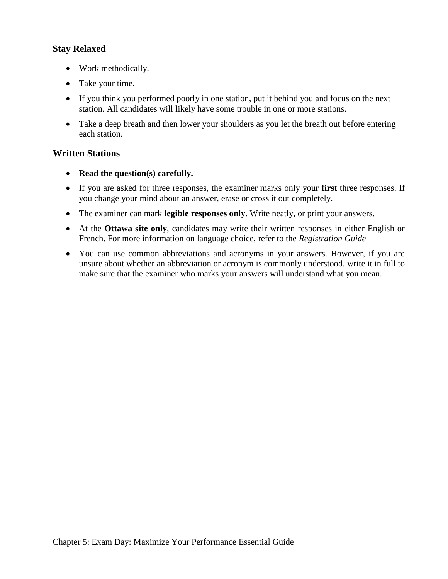## **Stay Relaxed**

- Work methodically.
- Take your time.
- If you think you performed poorly in one station, put it behind you and focus on the next station. All candidates will likely have some trouble in one or more stations.
- Take a deep breath and then lower your shoulders as you let the breath out before entering each station.

## **Written Stations**

- **Read the question(s) carefully.**
- If you are asked for three responses, the examiner marks only your **first** three responses. If you change your mind about an answer, erase or cross it out completely.
- The examiner can mark **legible responses only**. Write neatly, or print your answers.
- At the **Ottawa site only**, candidates may write their written responses in either English or French. For more information on language choice, refer to the *Registration Guide*
- You can use common abbreviations and acronyms in your answers. However, if you are unsure about whether an abbreviation or acronym is commonly understood, write it in full to make sure that the examiner who marks your answers will understand what you mean.